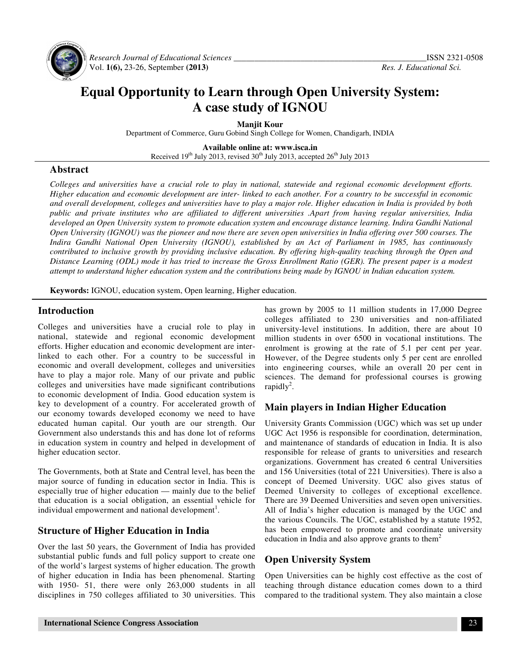

 *Research Journal of Educational Sciences \_\_\_\_\_\_\_\_\_\_\_\_\_\_\_\_\_\_\_\_\_\_\_\_\_\_\_\_\_\_\_\_\_\_\_\_\_\_\_\_\_\_\_\_\_\_*ISSN 2321-0508 Vol. **1(6),** 23-26, September **(2013)** *Res. J. Educational Sci.*

# **Equal Opportunity to Learn through Open University System: A case study of IGNOU**

**Manjit Kour** 

Department of Commerce, Guru Gobind Singh College for Women, Chandigarh, INDIA

**Available online at: www.isca.in**  Received  $19<sup>th</sup>$  July 2013, revised  $30<sup>th</sup>$  July 2013, accepted  $26<sup>th</sup>$  July 2013

#### **Abstract**

*Colleges and universities have a crucial role to play in national, statewide and regional economic development efforts. Higher education and economic development are inter- linked to each another. For a country to be successful in economic and overall development, colleges and universities have to play a major role. Higher education in India is provided by both public and private institutes who are affiliated to different universities .Apart from having regular universities, India developed an Open University system to promote education system and encourage distance learning. Indira Gandhi National Open University (IGNOU) was the pioneer and now there are seven open universities in India offering over 500 courses. The Indira Gandhi National Open University (IGNOU), established by an Act of Parliament in 1985, has continuously contributed to inclusive growth by providing inclusive education. By offering high-quality teaching through the Open and Distance Learning (ODL) mode it has tried to increase the Gross Enrollment Ratio (GER). The present paper is a modest attempt to understand higher education system and the contributions being made by IGNOU in Indian education system.* 

**Keywords:** IGNOU, education system, Open learning, Higher education.

#### **Introduction**

Colleges and universities have a crucial role to play in national, statewide and regional economic development efforts. Higher education and economic development are interlinked to each other. For a country to be successful in economic and overall development, colleges and universities have to play a major role. Many of our private and public colleges and universities have made significant contributions to economic development of India. Good education system is key to development of a country. For accelerated growth of our economy towards developed economy we need to have educated human capital. Our youth are our strength. Our Government also understands this and has done lot of reforms in education system in country and helped in development of higher education sector.

The Governments, both at State and Central level, has been the major source of funding in education sector in India. This is especially true of higher education — mainly due to the belief that education is a social obligation, an essential vehicle for individual empowerment and national development<sup>1</sup>.

## **Structure of Higher Education in India**

Over the last 50 years, the Government of India has provided substantial public funds and full policy support to create one of the world's largest systems of higher education. The growth of higher education in India has been phenomenal. Starting with 1950- 51, there were only 263,000 students in all disciplines in 750 colleges affiliated to 30 universities. This

has grown by 2005 to 11 million students in 17,000 Degree colleges affiliated to 230 universities and non-affiliated university-level institutions. In addition, there are about 10 million students in over 6500 in vocational institutions. The enrolment is growing at the rate of 5.1 per cent per year. However, of the Degree students only 5 per cent are enrolled into engineering courses, while an overall 20 per cent in sciences. The demand for professional courses is growing rapidly<sup>2</sup>.

## **Main players in Indian Higher Education**

University Grants Commission (UGC) which was set up under UGC Act 1956 is responsible for coordination, determination, and maintenance of standards of education in India. It is also responsible for release of grants to universities and research organizations. Government has created 6 central Universities and 156 Universities (total of 221 Universities). There is also a concept of Deemed University. UGC also gives status of Deemed University to colleges of exceptional excellence. There are 39 Deemed Universities and seven open universities. All of India's higher education is managed by the UGC and the various Councils. The UGC, established by a statute 1952, has been empowered to promote and coordinate university education in India and also approve grants to them<sup>2</sup>

## **Open University System**

Open Universities can be highly cost effective as the cost of teaching through distance education comes down to a third compared to the traditional system. They also maintain a close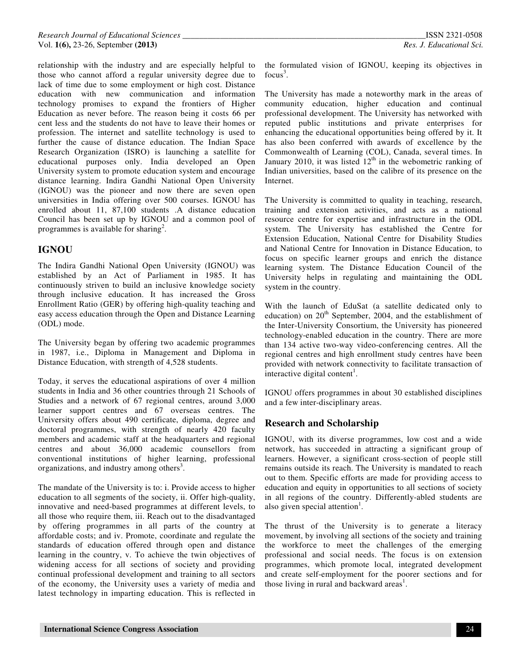relationship with the industry and are especially helpful to those who cannot afford a regular university degree due to lack of time due to some employment or high cost. Distance education with new communication and information technology promises to expand the frontiers of Higher Education as never before. The reason being it costs 66 per cent less and the students do not have to leave their homes or profession. The internet and satellite technology is used to further the cause of distance education. The Indian Space Research Organization (ISRO) is launching a satellite for educational purposes only. India developed an Open University system to promote education system and encourage distance learning. Indira Gandhi National Open University (IGNOU) was the pioneer and now there are seven open universities in India offering over 500 courses. IGNOU has enrolled about 11, 87,100 students .A distance education Council has been set up by IGNOU and a common pool of programmes is available for sharing<sup>2</sup>.

## **IGNOU**

The Indira Gandhi National Open University (IGNOU) was established by an Act of Parliament in 1985. It has continuously striven to build an inclusive knowledge society through inclusive education. It has increased the Gross Enrollment Ratio (GER) by offering high-quality teaching and easy access education through the Open and Distance Learning (ODL) mode.

The University began by offering two academic programmes in 1987, i.e., Diploma in Management and Diploma in Distance Education, with strength of 4,528 students.

Today, it serves the educational aspirations of over 4 million students in India and 36 other countries through 21 Schools of Studies and a network of 67 regional centres, around 3,000 learner support centres and 67 overseas centres. The University offers about 490 certificate, diploma, degree and doctoral programmes, with strength of nearly 420 faculty members and academic staff at the headquarters and regional centres and about 36,000 academic counsellors from conventional institutions of higher learning, professional organizations, and industry among others<sup>3</sup>.

The mandate of the University is to: i. Provide access to higher education to all segments of the society, ii. Offer high-quality, innovative and need-based programmes at different levels, to all those who require them, iii. Reach out to the disadvantaged by offering programmes in all parts of the country at affordable costs; and iv. Promote, coordinate and regulate the standards of education offered through open and distance learning in the country, v. To achieve the twin objectives of widening access for all sections of society and providing continual professional development and training to all sectors of the economy, the University uses a variety of media and latest technology in imparting education. This is reflected in

the formulated vision of IGNOU, keeping its objectives in focus<sup>3</sup>.

The University has made a noteworthy mark in the areas of community education, higher education and continual professional development. The University has networked with reputed public institutions and private enterprises for enhancing the educational opportunities being offered by it. It has also been conferred with awards of excellence by the Commonwealth of Learning (COL), Canada, several times. In January 2010, it was listed  $12<sup>th</sup>$  in the webometric ranking of Indian universities, based on the calibre of its presence on the Internet.

The University is committed to quality in teaching, research, training and extension activities, and acts as a national resource centre for expertise and infrastructure in the ODL system. The University has established the Centre for Extension Education, National Centre for Disability Studies and National Centre for Innovation in Distance Education, to focus on specific learner groups and enrich the distance learning system. The Distance Education Council of the University helps in regulating and maintaining the ODL system in the country.

With the launch of EduSat (a satellite dedicated only to education) on  $20<sup>th</sup>$  September, 2004, and the establishment of the Inter-University Consortium, the University has pioneered technology-enabled education in the country. There are more than 134 active two-way video-conferencing centres. All the regional centres and high enrollment study centres have been provided with network connectivity to facilitate transaction of interactive digital content<sup>1</sup>.

IGNOU offers programmes in about 30 established disciplines and a few inter-disciplinary areas.

## **Research and Scholarship**

IGNOU, with its diverse programmes, low cost and a wide network, has succeeded in attracting a significant group of learners. However, a significant cross-section of people still remains outside its reach. The University is mandated to reach out to them. Specific efforts are made for providing access to education and equity in opportunities to all sections of society in all regions of the country. Differently-abled students are also given special attention<sup>1</sup>.

The thrust of the University is to generate a literacy movement, by involving all sections of the society and training the workforce to meet the challenges of the emerging professional and social needs. The focus is on extension programmes, which promote local, integrated development and create self-employment for the poorer sections and for those living in rural and backward  $area<sup>1</sup>$ .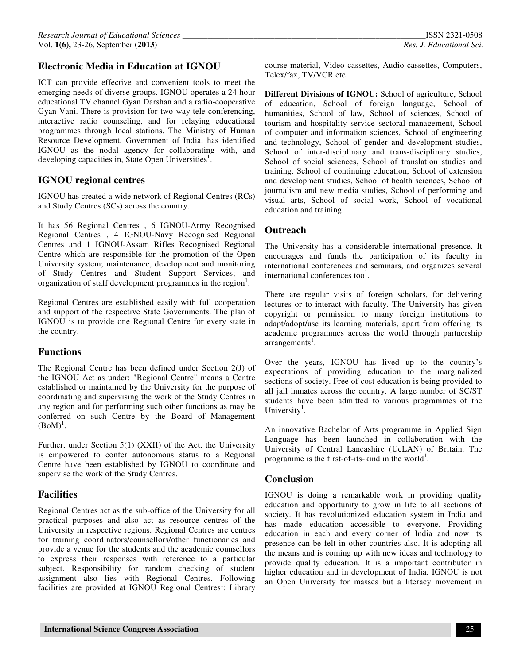## **Electronic Media in Education at IGNOU**

ICT can provide effective and convenient tools to meet the emerging needs of diverse groups. IGNOU operates a 24-hour educational TV channel Gyan Darshan and a radio-cooperative Gyan Vani. There is provision for two-way tele-conferencing, interactive radio counseling, and for relaying educational programmes through local stations. The Ministry of Human Resource Development, Government of India, has identified IGNOU as the nodal agency for collaborating with, and developing capacities in, State Open Universities<sup>1</sup>.

#### **IGNOU regional centres**

IGNOU has created a wide network of Regional Centres (RCs) and Study Centres (SCs) across the country.

It has 56 Regional Centres , 6 IGNOU-Army Recognised Regional Centres , 4 IGNOU-Navy Recognised Regional Centres and 1 IGNOU-Assam Rifles Recognised Regional Centre which are responsible for the promotion of the Open University system; maintenance, development and monitoring of Study Centres and Student Support Services; and organization of staff development programmes in the region<sup>1</sup>.

Regional Centres are established easily with full cooperation and support of the respective State Governments. The plan of IGNOU is to provide one Regional Centre for every state in the country.

#### **Functions**

The Regional Centre has been defined under Section 2(J) of the IGNOU Act as under: "Regional Centre" means a Centre established or maintained by the University for the purpose of coordinating and supervising the work of the Study Centres in any region and for performing such other functions as may be conferred on such Centre by the Board of Management  $(BoM)^{1}$ .

Further, under Section 5(1) (XXII) of the Act, the University is empowered to confer autonomous status to a Regional Centre have been established by IGNOU to coordinate and supervise the work of the Study Centres.

#### **Facilities**

Regional Centres act as the sub-office of the University for all practical purposes and also act as resource centres of the University in respective regions. Regional Centres are centres for training coordinators/counsellors/other functionaries and provide a venue for the students and the academic counsellors to express their responses with reference to a particular subject. Responsibility for random checking of student assignment also lies with Regional Centres. Following facilities are provided at IGNOU Regional Centres<sup>1</sup>: Library

course material, Video cassettes, Audio cassettes, Computers, Telex/fax, TV/VCR etc.

**Different Divisions of IGNOU:** School of agriculture, School of education, School of foreign language, School of humanities, School of law, School of sciences, School of tourism and hospitality service sectoral management, School of computer and information sciences, School of engineering and technology, School of gender and development studies, School of inter-disciplinary and trans-disciplinary studies, School of social sciences, School of translation studies and training, School of continuing education, School of extension and development studies, School of health sciences, School of journalism and new media studies, School of performing and visual arts, School of social work, School of vocational education and training.

#### **Outreach**

The University has a considerable international presence. It encourages and funds the participation of its faculty in international conferences and seminars, and organizes several international conferences too $<sup>1</sup>$ .</sup>

There are regular visits of foreign scholars, for delivering lectures or to interact with faculty. The University has given copyright or permission to many foreign institutions to adapt/adopt/use its learning materials, apart from offering its academic programmes across the world through partnership arrangements<sup>1</sup>.

Over the years, IGNOU has lived up to the country's expectations of providing education to the marginalized sections of society. Free of cost education is being provided to all jail inmates across the country. A large number of SC/ST students have been admitted to various programmes of the University<sup>1</sup>.

An innovative Bachelor of Arts programme in Applied Sign Language has been launched in collaboration with the University of Central Lancashire (UcLAN) of Britain. The programme is the first-of-its-kind in the world<sup>1</sup>.

#### **Conclusion**

IGNOU is doing a remarkable work in providing quality education and opportunity to grow in life to all sections of society. It has revolutionized education system in India and has made education accessible to everyone. Providing education in each and every corner of India and now its presence can be felt in other countries also. It is adopting all the means and is coming up with new ideas and technology to provide quality education. It is a important contributor in higher education and in development of India. IGNOU is not an Open University for masses but a literacy movement in